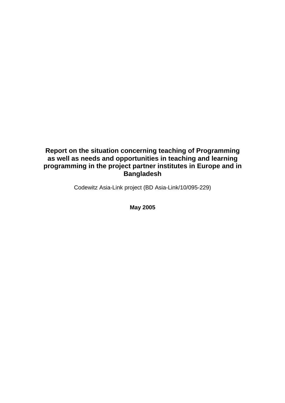# **Report on the situation concerning teaching of Programming as well as needs and opportunities in teaching and learning programming in the project partner institutes in Europe and in Bangladesh**

Codewitz Asia-Link project (BD Asia-Link/10/095-229)

**May 2005**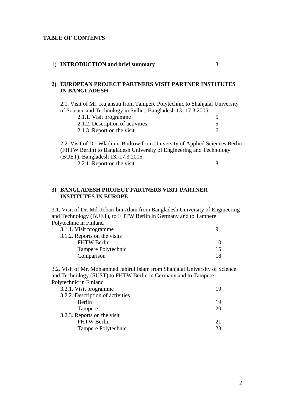#### **TABLE OF CONTENTS**

#### 1) **INTRODUCTION and brief summary** 3

#### **2) EUROPEAN PROJECT PARTNERS VISIT PARTNER INSTITUTES IN BANGLADESH**

2.1. Visit of Mr. Kujansuu from Tampere Polytechnic to Shahjalal University of Science and Technology in Sylhet, Bangladesh 13.-17.3.2005

| 2.1.1. Visit programme           |  |
|----------------------------------|--|
| 2.1.2. Description of activities |  |
| 2.1.3. Report on the visit       |  |

2.2. Visit of Dr. Wladimir Bodrow from University of Applied Sciences Berlin (FHTW Berlin) to Bangladesh University of Engineering and Technology (BUET), Bangladesh 13.-17.3.2005 2.2.1. Report on the visit 8

### **3) BANGLADESH PROJECT PARTNERS VISIT PARTNER INSTITUTES IN EUROPE**

3.1. Visit of Dr. Md. Jobair bin Alam from Bangladesh University of Engineering and Technology (BUET), to FHTW Berlin in Germany and to Tampere Polytechnic in Finland

| 3.1.1. Visit programme       |    |
|------------------------------|----|
| 3.1.2. Reports on the visits |    |
| <b>FHTW Berlin</b>           | 10 |
| Tampere Polytechnic          | 15 |
| Comparison                   | 18 |

3.2. Visit of Mr. Mohammed Jahirul Islam from Shahjalal University of Science and Technology (SUST) to FHTW Berlin in Germany and to Tampere Polytechnic in Finland

| 3.2.1. Visit programme           | 19 |
|----------------------------------|----|
| 3.2.2. Description of activities |    |
| Berlin                           | 19 |
| Tampere                          | 20 |
| 3.2.3. Reports on the visit      |    |
| <b>FHTW Berlin</b>               | 21 |
| Tampere Polytechnic              | 23 |
|                                  |    |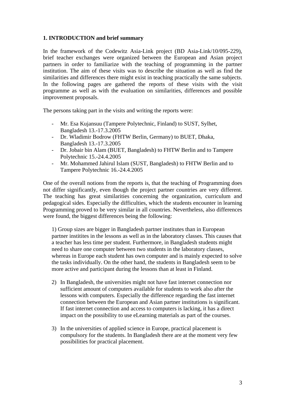# **1. INTRODUCTION and brief summary**

In the framework of the Codewitz Asia-Link project (BD Asia-Link/10/095-229), brief teacher exchanges were organized between the European and Asian project partners in order to familiarize with the teaching of programming in the partner institution. The aim of these visits was to describe the situation as well as find the similarities and differences there might exist in teaching practically the same subjects. In the following pages are gathered the reports of these visits with the visit programme as well as with the evaluation on similarities, differences and possible improvement proposals.

The persons taking part in the visits and writing the reports were:

- Mr. Esa Kujansuu (Tampere Polytechnic, Finland) to SUST, Sylhet, Bangladesh 13.-17.3.2005
- Dr. Wladimir Bodrow (FHTW Berlin, Germany) to BUET, Dhaka, Bangladesh 13.-17.3.2005
- Dr. Jobair bin Alam (BUET, Bangladesh) to FHTW Berlin and to Tampere Polytechnic 15.-24.4.2005
- Mr. Mohammed Jahirul Islam (SUST, Bangladesh) to FHTW Berlin and to Tampere Polytechnic 16.-24.4.2005

One of the overall notions from the reports is, that the teaching of Programming does not differ significantly, even though the project partner countries are very different. The teaching has great similarities concerning the organization, curriculum and pedagogical sides. Especially the difficulties, which the students encounter in learning Programming proved to be very similar in all countries. Nevertheless, also differences were found, the biggest differences being the following:

1) Group sizes are bigger in Bangladesh partner institutes than in European partner institites in the lessons as well as in the laboratory classes. This causes that a teacher has less time per student. Furthermore, in Bangladesh students might need to share one computer between two students in the laboratory classes, whereas in Europe each student has own computer and is mainly expected to solve the tasks individually. On the other hand, the students in Bangladesh seem to be more active and participant during the lessons than at least in Finland.

- 2) In Bangladesh, the universities might not have fast internet connection nor sufficient amount of computers available for students to work also after the lessons with computers. Especially the difference regarding the fast internet connection between the European and Asian partner institutions is significant. If fast internet connection and access to computers is lacking, it has a direct impact on the possibility to use eLearning materials as part of the courses.
- 3) In the universities of applied science in Europe, practical placement is compulsory for the students. In Bangladesh there are at the moment very few possibilities for practical placement.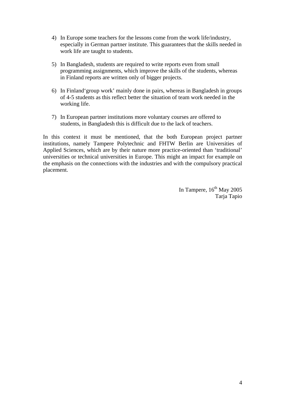- 4) In Europe some teachers for the lessons come from the work life/industry, especially in German partner institute. This guarantees that the skills needed in work life are taught to students.
- 5) In Bangladesh, students are required to write reports even from small programming assignments, which improve the skills of the students, whereas in Finland reports are written only of bigger projects.
- 6) In Finland'group work' mainly done in pairs, whereas in Bangladesh in groups of 4-5 students as this reflect better the situation of team work needed in the working life.
- 7) In European partner institutions more voluntary courses are offered to students, in Bangladesh this is difficult due to the lack of teachers.

In this context it must be mentioned, that the both European project partner institutions, namely Tampere Polytechnic and FHTW Berlin are Universities of Applied Sciences, which are by their nature more practice-oriented than 'traditional' universities or technical universities in Europe. This might an impact for example on the emphasis on the connections with the industries and with the compulsory practical placement.

> In Tampere,  $16^{th}$  May 2005 Tarja Tapio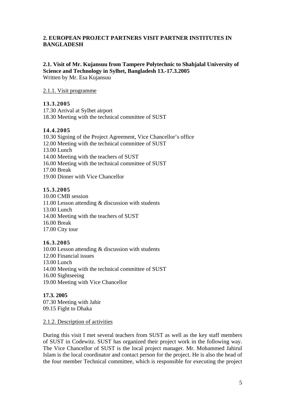# **2. EUROPEAN PROJECT PARTNERS VISIT PARTNER INSTITUTES IN BANGLADESH**

#### **2.1. Visit of Mr. Kujansuu from Tampere Polytechnic to Shahjalal University of Science and Technology in Sylhet, Bangladesh 13.-17.3.2005**  Written by Mr. Esa Kujansuu

2.1.1. Visit programme

# **13.3.2005**

17.30 Arrival at Sylhet airport 18.30 Meeting with the technical committee of SUST

# **14.4.2005**

10.30 Signing of the Project Agreement, Vice Chancellor's office 12.00 Meeting with the technical committee of SUST 13.00 Lunch 14.00 Meeting with the teachers of SUST 16.00 Meeting with the technical committee of SUST 17.00 Break 19.00 Dinner with Vice Chancellor

### **15.3.2005**

10.00 CMB session 11.00 Lesson attending & discussion with students 13.00 Lunch 14.00 Meeting with the teachers of SUST 16.00 Break 17.00 City tour

# **16.3.2005**

10.00 Lesson attending & discussion with students 12.00 Financial issues 13.00 Lunch 14.00 Meeting with the technical committee of SUST 16.00 Sightseeing 19.00 Meeting with Vice Chancellor

**17.3. 2005**  07.30 Meeting with Jahir 09.15 Fight to Dhaka

2.1.2. Description of activities

During this visit I met several teachers from SUST as well as the key staff members of SUST in Codewitz. SUST has organized their project work in the following way. The Vice Chancellor of SUST is the local project manager. Mr. Mohammed Jahirul Islam is the local coordinator and contact person for the project. He is also the head of the four member Technical committee, which is responsible for executing the project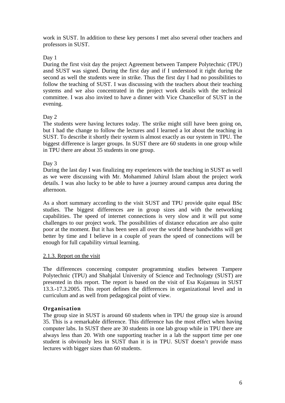work in SUST. In addition to these key persons I met also several other teachers and professors in SUST.

### Day 1

During the first visit day the project Agreement between Tampere Polytechnic (TPU) asnd SUST was signed. During the first day and if I understood it right during the second as well the students were in strike. Thus the first day I had no possibilities to follow the teaching of SUST. I was discussing with the teachers about their teaching systems and we also concentrated in the project work details with the technical committee. I was also invited to have a dinner with Vice Chancellor of SUST in the evening.

# Day 2

The students were having lectures today. The strike might still have been going on, but I had the change to follow the lectures and I learned a lot about the teaching in SUST. To describe it shortly their system is almost exactly as our system in TPU. The biggest difference is larger groups. In SUST there are 60 students in one group while in TPU there are about 35 students in one group.

### Day 3

During the last day I was finalizing my experiences with the teaching in SUST as well as we were discussing with Mr. Mohammed Jahirul Islam about the project work details. I was also lucky to be able to have a journey around campus area during the afternoon.

As a short summary according to the visit SUST and TPU provide quite equal BSc studies. The biggest differences are in group sizes and with the networking capabilities. The speed of internet connections is very slow and it will put some challenges to our project work. The possibilities of distance education are also quite poor at the moment. But it has been seen all over the world these bandwidths will get better by time and I believe in a couple of years the speed of connections will be enough for full capability virtual learning.

### 2.1.3. Report on the visit

The differences concerning computer programming studies between Tampere Polytechnic (TPU) and Shahjalal University of Science and Technology (SUST) are presented in this report. The report is based on the visit of Esa Kujansuu in SUST 13.3.-17.3.2005. This report defines the differences in organizational level and in curriculum and as well from pedagogical point of view.

# **Organisation**

The group size in SUST is around 60 students when in TPU the group size is around 35. This is a remarkable difference. This difference has the most effect when having computer labs. In SUST there are 30 students in one lab group while in TPU there are always less than 20. With one supporting teacher in a lab the support time per one student is obviously less in SUST than it is in TPU. SUST doesn't provide mass lectures with bigger sizes than 60 students.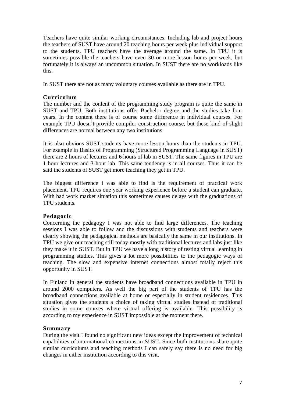Teachers have quite similar working circumstances. Including lab and project hours the teachers of SUST have around 20 teaching hours per week plus individual support to the students. TPU teachers have the average around the same. In TPU it is sometimes possible the teachers have even 30 or more lesson hours per week, but fortunately it is always an uncommon situation. In SUST there are no workloads like this.

In SUST there are not as many voluntary courses available as there are in TPU.

# **Curriculum**

The number and the content of the programming study program is quite the same in SUST and TPU. Both institutions offer Bachelor degree and the studies take four years. In the content there is of course some difference in individual courses. For example TPU doesn't provide compiler construction course, but these kind of slight differences are normal between any two institutions.

It is also obvious SUST students have more lesson hours than the students in TPU. For example in Basics of Programming (Structured Programming Language in SUST) there are 2 hours of lectures and 6 hours of lab in SUST. The same figures in TPU are 1 hour lectures and 3 hour lab. This same tendency is in all courses. Thus it can be said the students of SUST get more teaching they get in TPU.

The biggest difference I was able to find is the requirement of practical work placement. TPU requires one year working experience before a student can graduate. With bad work market situation this sometimes causes delays with the graduations of TPU students.

# **Pedagocic**

Concerning the pedagogy I was not able to find large differences. The teaching sessions I was able to follow and the discussions with students and teachers were clearly showing the pedagogical methods are basically the same in our institutions. In TPU we give our teaching still today mostly with traditional lectures and labs just like they make it in SUST. But in TPU we have a long history of testing virtual learning in programming studies. This gives a lot more possibilities to the pedagogic ways of teaching. The slow and expensive internet connections almost totally reject this opportunity in SUST.

In Finland in general the students have broadband connections available in TPU in around 2000 computers. As well the big part of the students of TPU has the broadband connections available at home or especially in student residences. This situation gives the students a choice of taking virtual studies instead of traditional studies in some courses where virtual offering is available. This possibility is according to my experience in SUST impossible at the moment there.

# **Summary**

During the visit I found no significant new ideas except the improvement of technical capabilities of international connections in SUST. Since both institutions share quite similar curriculums and teaching methods I can safely say there is no need for big changes in either institution according to this visit.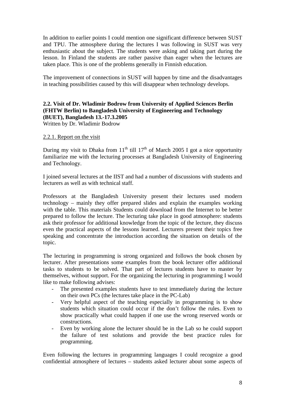In addition to earlier points I could mention one significant difference between SUST and TPU. The atmosphere during the lectures I was following in SUST was very enthusiastic about the subject. The students were asking and taking part during the lesson. In Finland the students are rather passive than eager when the lectures are taken place. This is one of the problems generally in Finnish education.

The improvement of connections in SUST will happen by time and the disadvantages in teaching possibilities caused by this will disappear when technology develops.

# **2.2. Visit of Dr. Wladimir Bodrow from University of Applied Sciences Berlin (FHTW Berlin) to Bangladesh University of Engineering and Technology (BUET), Bangladesh 13.-17.3.2005**

Written by Dr. Wladimir Bodrow

### 2.2.1. Report on the visit

During my visit to Dhaka from  $11^{th}$  till  $17^{th}$  of March 2005 I got a nice opportunity familiarize me with the lecturing processes at Bangladesh University of Engineering and Technology.

I joined several lectures at the IIST and had a number of discussions with students and lecturers as well as with technical staff.

Professors at the Bangladesh University present their lectures used modern technology – mainly they offer prepared slides and explain the examples working with the table. This materials Students could download from the Internet to be better prepared to follow the lecture. The lecturing take place in good atmosphere: students ask their professor for additional knowledge from the topic of the lecture, they discuss even the practical aspects of the lessons learned. Lecturers present their topics free speaking and concentrate the introduction according the situation on details of the topic.

The lecturing in programming is strong organized and follows the book chosen by lecturer. After presentations some examples from the book lecturer offer additional tasks to students to be solved. That part of lectures students have to master by themselves, without support. For the organizing the lecturing in programming I would like to make following advises:

- The presented examples students have to test immediately during the lecture on their own PCs (the lectures take place in the PC-Lab)
- Very helpful aspect of the teaching especially in programming is to show students which situation could occur if the don't follow the rules. Even to show practically what could happen if one use the wrong reserved words or constructions.
- Even by working alone the lecturer should be in the Lab so he could support the failure of test solutions and provide the best practice rules for programming.

Even following the lectures in programming languages I could recognize a good confidential atmosphere of lectures – students asked lecturer about some aspects of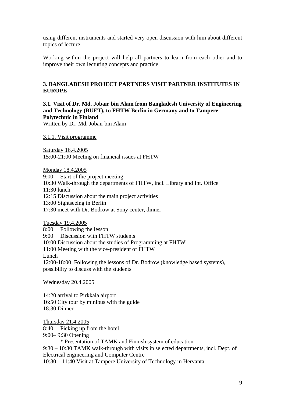using different instruments and started very open discussion with him about different topics of lecture.

Working within the project will help all partners to learn from each other and to improve their own lecturing concepts and practice.

# **3. BANGLADESH PROJECT PARTNERS VISIT PARTNER INSTITUTES IN EUROPE**

# **3.1. Visit of Dr. Md. Jobair bin Alam from Bangladesh University of Engineering and Technology (BUET), to FHTW Berlin in Germany and to Tampere Polytechnic in Finland**

Written by Dr. Md. Jobair bin Alam

3.1.1. Visit programme

Saturday 16.4.2005 15:00-21:00 Meeting on financial issues at FHTW

Monday 18.4.2005

9:00 Start of the project meeting

- 10:30 Walk-through the departments of FHTW, incl. Library and Int. Office
- 11:30 lunch

12:15 Discussion about the main project activities

13:00 Sightseeing in Berlin

17:30 meet with Dr. Bodrow at Sony center, dinner

Tuesday 19.4.2005

8:00 Following the lesson

9:00 Discussion with FHTW students

10:00 Discussion about the studies of Programming at FHTW

11:00 Meeting with the vice-president of FHTW

**Lunch** 

12:00-18:00 Following the lessons of Dr. Bodrow (knowledge based systems), possibility to discuss with the students

Wednesday 20.4.2005

14:20 arrival to Pirkkala airport 16:50 City tour by minibus with the guide 18:30 Dinner

Thursday 21.4.2005

8:40 Picking up from the hotel

9:00– 9:30 Opening

\* Presentation of TAMK and Finnish system of education

9:30 – 10:30 TAMK walk-through with visits in selected departments, incl. Dept. of Electrical engineering and Computer Centre

10:30 – 11:40 Visit at Tampere University of Technology in Hervanta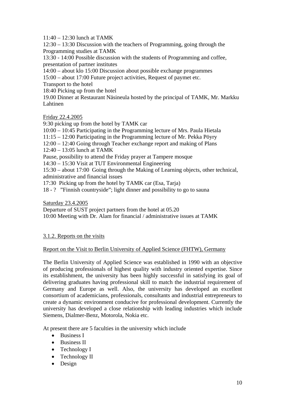11:40 – 12:30 lunch at TAMK

12:30 – 13:30 Discussion with the teachers of Programming, going through the Programming studies at TAMK

13:30 - 14:00 Possible discussion with the students of Programming and coffee, presentation of partner institutes

14:00 – about klo 15:00 Discussion about possible exchange programmes

15:00 – about 17:00 Future project activities, Request of paymet etc.

Transport to the hotel

18:40 Picking up from the hotel

19.00 Dinner at Restaurant Näsineula hosted by the principal of TAMK, Mr. Markku Lahtinen

Friday 22.4.2005

9:30 picking up from the hotel by TAMK car 10:00 – 10:45 Participating in the Programming lecture of Mrs. Paula Hietala 11:15 – 12:00 Participating in the Programming lecture of Mr. Pekka Pöyry 12:00 – 12:40 Going through Teacher exchange report and making of Plans 12:40 – 13:05 lunch at TAMK Pause, possibility to attend the Friday prayer at Tampere mosque 14:30 – 15:30 Visit at TUT Environmental Engineering 15:30 – about 17:00 Going through the Making of Learning objects, other technical, administrative and financial issues 17:30 Picking up from the hotel by TAMK car (Esa, Tarja) 18 - ? "Finnish countryside"; light dinner and possibility to go to sauna

Saturday 23.4.2005

Departure of SUST project partners from the hotel at 05.20

10:00 Meeting with Dr. Alam for financial / administrative issues at TAMK

# 3.1.2. Reports on the visits

# Report on the Visit to Berlin University of Applied Science (FHTW), Germany

The Berlin University of Applied Science was established in 1990 with an objective of producing professionals of highest quality with industry oriented expertise. Since its establishment, the university has been highly successful in satisfying its goal of delivering graduates having professional skill to match the industrial requirement of Germany and Europe as well. Also, the university has developed an excellent consortium of academicians, professionals, consultants and industrial entrepreneurs to create a dynamic environment conducive for professional development. Currently the university has developed a close relationship with leading industries which include Siemens, Dialmer-Benz, Motorola, Nokia etc.

At present there are 5 faculties in the university which include

- Business I
- Business II
- Technology I
- Technology II
- Design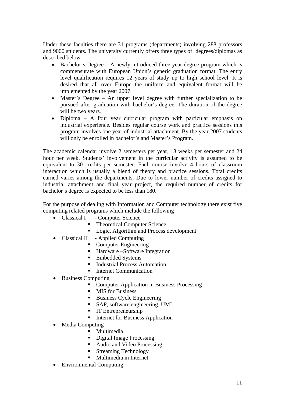Under these faculties there are 31 programs (departments) involving 288 professors and 9000 students. The university currently offers three types of degrees/diplomas as described below

- Bachelor's Degree A newly introduced three year degree program which is commensurate with European Union's generic graduation format. The entry level qualification requires 12 years of study up to high school level. It is desired that all over Europe the uniform and equivalent format will be implemented by the year 2007.
- Master's Degree An upper level degree with further specialization to be pursued after graduation with bachelor's degree. The duration of the degree will be two years.
- Diploma A four year curricular program with particular emphasis on industrial experience. Besides regular course work and practice sessions this program involves one year of industrial attachment. By the year 2007 students will only be enrolled in bachelor's and Master's Program.

The academic calendar involve 2 semesters per year, 18 weeks per semester and 24 hour per week. Students' involvement in the curricular activity is assumed to be equivalent to 30 credits per semester. Each course involve 4 hours of classroom interaction which is usually a blend of theory and practice sessions. Total credits earned varies among the departments. Due to lower number of credits assigned to industrial attachment and final year project, the required number of credits for bachelor's degree is expected to be less than 180.

For the purpose of dealing with Information and Computer technology there exist five computing related programs which include the following

- Classical I Computer Science
	- Theoretical Computer Science
	- **Logic, Algorithm and Process development**
- Classical II Applied Computing
	- Computer Engineering
	- Hardware –Software Integration
	- Embedded Systems
	- **Industrial Process Automation**
	- Internet Communication
- Business Computing
	- Computer Application in Business Processing
	- **MIS** for Business
	- Business Cycle Engineering
	- SAP, software engineering, UML
	- **IT Entrepreneurship**
	- Internet for Business Application
- Media Computing
	- **Multimedia**
	- Digital Image Processing
	- Audio and Video Processing
	- **Streaming Technology**
	- Multimedia in Internet
- Environmental Computing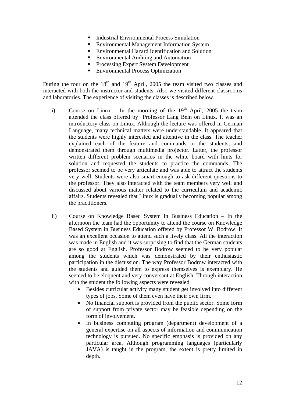- Industrial Environmental Process Simulation
- **Environmental Management Information System**
- Environmental Hazard Identification and Solution
- Environmental Auditing and Automation
- **Processing Expert System Development**
- **Environmental Process Optimization**

During the tour on the  $18<sup>th</sup>$  and  $19<sup>th</sup>$  April, 2005 the team visited two classes and interacted with both the instructor and students. Also we visited different classrooms and laboratories. The experience of visiting the classes is described below.

- i) Course on Linux In the morning of the  $19<sup>th</sup>$  April, 2005 the team attended the class offered by Professor Lang Bein on Linux. It was an introductory class on Linux. Although the lecture was offered in German Language, many technical matters were understandable. It appeared that the students were highly interested and attentive in the class. The teacher explained each of the feature and commands to the students, and demonstrated them through multimedia projector. Latter, the professor written different problem scenarios in the white board with hints for solution and requested the students to practice the commands. The professor seemed to be very articulate and was able to attract the students very well. Students were also smart enough to ask different questions to the professor. They also interacted with the team members very well and discussed about various matter related to the curriculum and academic affairs. Students revealed that Linux is gradually becoming popular among the practitioners.
- ii) Course on Knowledge Based System in Business Education In the afternoon the team had the opportunity to attend the course on Knowledge Based System in Business Education offered by Professor W. Bodrow. It was an excellent occasion to attend such a lively class. All the interaction was made in English and it was surprising to find that the German students are so good at English. Professor Bodrow seemed to be very popular among the students which was demonstrated by their enthusiastic participation in the discussion. The way Professor Bodrow interacted with the students and guided them to express themselves is exemplary. He seemed to be eloquent and very conversant at English. Through interaction with the student the following aspects were revealed
	- Besides curricular activity many student get involved into different types of jobs. Some of them even have their own firm.
	- No financial support is provided from the public sector. Some form of support from private sector may be feasible depending on the form of involvement.
	- In business computing program (department) development of a general expertise on all aspects of information and communication technology is pursued. No specific emphasis is provided on any particular area. Although programming languages (particularly JAVA) is taught in the program, the extent is pretty limited in depth.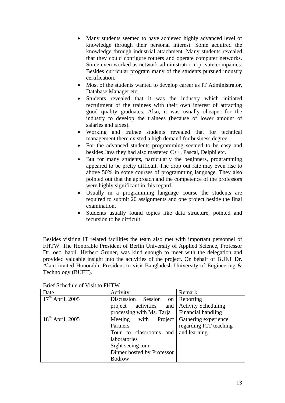- Many students seemed to have achieved highly advanced level of knowledge through their personal interest. Some acquired the knowledge through industrial attachment. Many students revealed that they could configure routers and operate computer networks. Some even worked as network administrator in private companies. Besides curricular program many of the students pursued industry certification.
- Most of the students wanted to develop career as IT Administrator, Database Manager etc.
- Students revealed that it was the industry which initiated recruitment of the trainees with their own interest of attracting good quality graduates. Also, it was usually cheaper for the industry to develop the trainees (because of lower amount of salaries and taxes).
- Working and trainee students revealed that for technical management there existed a high demand for business degree.
- For the advanced students programming seemed to be easy and besides Java they had also mastered C++, Pascal, Delphi etc.
- But for many students, particularly the beginners, programming appeared to be pretty difficult. The drop out rate may even rise to above 50% in some courses of programming language. They also pointed out that the approach and the competence of the professors were highly significant in this regard.
- Usually in a programming language course the students are required to submit 20 assignments and one project beside the final examination.
- Students usually found topics like data structure, pointed and recursion to be difficult.

Besides visiting IT related facilities the team also met with important personnel of FHTW. The Honorable President of Berlin University of Applied Science, Professor Dr. oec. habil. Herbert Gruner, was kind enough to meet with the delegation and provided valuable insight into the activities of the project. On behalf of BUET Dr. Alam invited Honorable President to visit Bangladesh University of Engineering & Technology (BUET).

| Date                  | Activity                     | Remark                     |
|-----------------------|------------------------------|----------------------------|
| $17^{th}$ April, 2005 | Discussion<br>Session<br>on  | Reporting                  |
|                       | activities<br>project<br>and | <b>Activity Scheduling</b> |
|                       | processing with Ms. Tarja    | Financial handling         |
| $18th$ April, 2005    | with<br>Project<br>Meeting   | Gathering experience       |
|                       | Partners                     | regarding ICT teaching     |
|                       | Tour to classrooms and       | and learning               |
|                       | laboratories                 |                            |
|                       | Sight seeing tour            |                            |
|                       | Dinner hosted by Professor   |                            |
|                       | <b>Bodrow</b>                |                            |

Brief Schedule of Visit to FHTW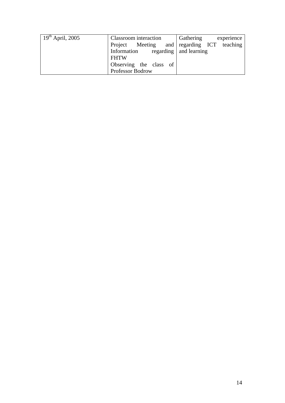| $19^{th}$ April, 2005 | <b>Classroom</b> interaction               | Gathering<br>experience |
|-----------------------|--------------------------------------------|-------------------------|
|                       | Project Meeting and regarding ICT teaching |                         |
|                       | Information regarding and learning         |                         |
|                       | <b>FHTW</b>                                |                         |
|                       | Observing the class of                     |                         |
|                       | Professor Bodrow                           |                         |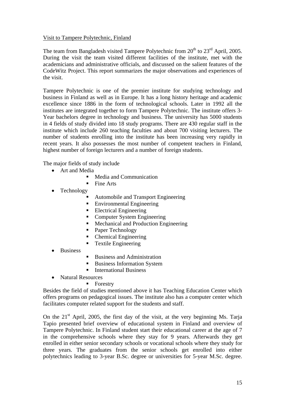### Visit to Tampere Polytechnic, Finland

The team from Bangladesh visited Tampere Polytechnic from  $20<sup>th</sup>$  to  $23<sup>rd</sup>$  April, 2005. During the visit the team visited different facilities of the institute, met with the academicians and administrative officials, and discussed on the salient features of the CodeWitz Project. This report summarizes the major observations and experiences of the visit.

Tampere Polytechnic is one of the premier institute for studying technology and business in Finland as well as in Europe. It has a long history heritage and academic excellence since 1886 in the form of technological schools. Later in 1992 all the institutes are integrated together to form Tampere Polytechnic. The institute offers 3- Year bachelors degree in technology and business. The university has 5000 students in 4 fields of study divided into 18 study programs. There are 430 regular staff in the institute which include 260 teaching faculties and about 700 visiting lecturers. The number of students enrolling into the institute has been increasing very rapidly in recent years. It also possesses the most number of competent teachers in Finland, highest number of foreign lecturers and a number of foreign students.

The major fields of study include

- Art and Media
	- Media and Communication
	- Fine Arts
- Technology
	- Automobile and Transport Engineering
	- Environmental Engineering
	- **Electrical Engineering**
	- Computer System Engineering
	- Mechanical and Production Engineering
	- Paper Technology
	- Chemical Engineering
	- Textile Engineering
- **Business**
- Business and Administration
- Business Information System
- International Business
- Natural Resources
	- **Forestry**

Besides the field of studies mentioned above it has Teaching Education Center which offers programs on pedagogical issues. The institute also has a computer center which facilitates computer related support for the students and staff.

On the  $21<sup>st</sup>$  April, 2005, the first day of the visit, at the very beginning Ms. Taria Tapio presented brief overview of educational system in Finland and overview of Tampere Polytechnic. In Finland student start their educational career at the age of 7 in the comprehensive schools where they stay for 9 years. Afterwards they get enrolled in either senior secondary schools or vocational schools where they study for three years. The graduates from the senior schools get enrolled into either polytechnics leading to 3-year B.Sc. degree or universities for 5-year M.Sc. degree.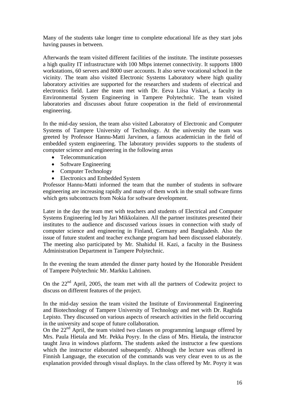Many of the students take longer time to complete educational life as they start jobs having pauses in between.

Afterwards the team visited different facilities of the institute. The institute possesses a high quality IT infrastructure with 100 Mbps internet connectivity. It supports 1800 workstations, 60 servers and 8000 user accounts. It also serve vocational school in the vicinity. The team also visited Electronic Systems Laboratory where high quality laboratory activities are supported for the researchers and students of electrical and electronics field. Later the team met with Dr. Eeva Liisa Viskari, a faculty in Environmental System Engineering in Tampere Polytechnic. The team visited laboratories and discusses about future cooperation in the field of environmental engineering.

In the mid-day session, the team also visited Laboratory of Electronic and Computer Systems of Tampere University of Technology. At the university the team was greeted by Professor Hannu-Matti Jarvinen, a famous academician in the field of embedded system engineering. The laboratory provides supports to the students of computer science and engineering in the following areas

- Telecommunication
- Software Engineering
- Computer Technology
- Electronics and Embedded System

Professor Hannu-Matti informed the team that the number of students in software engineering are increasing rapidly and many of them work in the small software firms which gets subcontracts from Nokia for software development.

Later in the day the team met with teachers and students of Electrical and Computer Systems Engineering led by Jari Mikkolainen. All the partner institutes presented their institutes to the audience and discussed various issues in connection with study of computer science and engineering in Finland, Germany and Bangladesh. Also the issue of future student and teacher exchange program had been discussed elaborately. The meeting also participated by Mr. Shahidul H. Kazi, a faculty in the Business Administration Department in Tampere Polytechnic.

In the evening the team attended the dinner party hosted by the Honorable President of Tampere Polytechnic Mr. Markku Lahtinen.

On the  $22<sup>nd</sup>$  April, 2005, the team met with all the partners of Codewitz project to discuss on different features of the project.

In the mid-day session the team visited the Institute of Environmental Engineering and Biotechnology of Tampere University of Technology and met with Dr. Raghida Lepisto. They discussed on various aspects of research activities in the field occurring in the university and scope of future collaboration.

On the  $22<sup>nd</sup>$  April, the team visited two classes on programming language offered by Mrs. Paula Hietala and Mr. Pekka Poyry. In the class of Mrs. Hietala, the instructor taught Java in windows platform. The students asked the instructor a few questions which the instructor elaborated subsequently. Although the lecture was offered in Finnish Language, the execution of the commands was very clear even to us as the explanation provided through visual displays. In the class offered by Mr. Poyry it was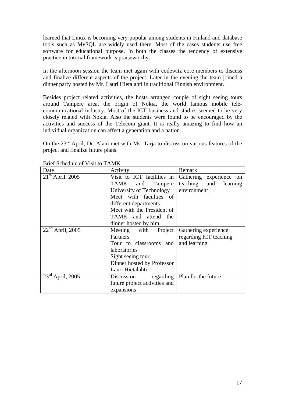learned that Linux is becoming very popular among students in Finland and database tools such as MySQL are widely used there. Most of the cases students use free software for educational purpose. In both the classes the tendency of extensive practice in tutorial framework is praiseworthy.

In the afternoon session the team met again with codewitz core members to discuss and finalize different aspects of the project. Later in the evening the team joined a dinner party hosted by Mr. Lauri Hietalahti in traditional Finnish environment.

Besides project related activities, the hosts arranged couple of sight seeing tours around Tampere area, the origin of Nokia, the world famous mobile telecommunicational industry. Most of the ICT business and studies seemed to be very closely related with Nokia. Also the students were found to be encouraged by the activities and success of the Telecom giant. It is really amazing to find how an individual organization can affect a generation and a nation.

On the 23rd April, Dr. Alam met with Ms. Tarja to discuss on various features of the project and finalize future plans.

| DHEI SCHEULLE OF VISIL TO TAIVIN |                                             |                                 |  |
|----------------------------------|---------------------------------------------|---------------------------------|--|
| Date                             | Activity                                    | Remark                          |  |
| $21th$ April, 2005               | Visit to ICT facilities in                  | Gathering experience on         |  |
|                                  | TAMK<br>Tampere<br>and                      | teaching<br>and learning        |  |
|                                  | University of Technology                    | environment                     |  |
|                                  | Meet with faculties of                      |                                 |  |
|                                  | different departments                       |                                 |  |
|                                  | Meet with the President of                  |                                 |  |
|                                  | TAMK and attend the                         |                                 |  |
|                                  | dinner hosted by him.                       |                                 |  |
| $22nd$ April, 2005               | Project<br>Meeting with                     | Gathering experience            |  |
|                                  | Partners                                    | regarding ICT teaching          |  |
|                                  | Tour to classrooms and<br>and learning      |                                 |  |
|                                  | laboratories                                |                                 |  |
|                                  | Sight seeing tour                           |                                 |  |
|                                  | Dinner hosted by Professor                  |                                 |  |
|                                  | Lauri Hietalahti                            |                                 |  |
| $23^{\text{rd}}$ April, 2005     | Discussion                                  | regarding   Plan for the future |  |
|                                  | future project activities and<br>expansions |                                 |  |
|                                  |                                             |                                 |  |

Brief Schedule of Visit to TAMK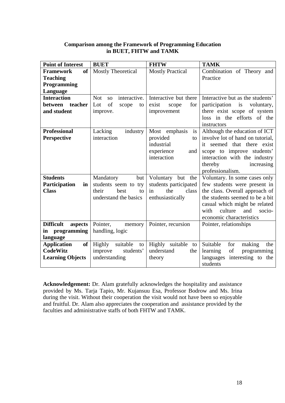# **Comparison among the Framework of Programming Education in BUET, FHTW and TAMK**

| <b>Point of Interest</b>      | <b>BUET</b>                             | <b>FHTW</b>             | <b>TAMK</b>                                 |
|-------------------------------|-----------------------------------------|-------------------------|---------------------------------------------|
| <b>of</b><br><b>Framework</b> | <b>Mostly Theoretical</b>               | <b>Mostly Practical</b> | Combination of Theory and                   |
| <b>Teaching</b>               |                                         |                         | Practice                                    |
| Programming                   |                                         |                         |                                             |
| Language                      |                                         |                         |                                             |
| <b>Interaction</b>            | <b>Not</b><br>interactive.<br><b>SO</b> | Interactive but there   | Interactive but as the students'            |
| teacher<br>between            | of<br>Lot<br>scope<br>to                | exist<br>for<br>scope   | participation<br>is<br>voluntary,           |
| and student                   | improve.                                | improvement             | there exist scope of system                 |
|                               |                                         |                         | loss in the efforts of the                  |
|                               |                                         |                         | instructors                                 |
| <b>Professional</b>           | Lacking<br>industry                     | Most emphasis<br>is     | Although the education of ICT               |
| <b>Perspective</b>            | interaction                             | provided<br>to          | involve lot of hand on tutorial,            |
|                               |                                         | industrial              | it seemed that there exist                  |
|                               |                                         | experience<br>and       | scope to improve students'                  |
|                               |                                         | interaction             | interaction with the industry               |
|                               |                                         |                         | increasing<br>thereby                       |
|                               |                                         |                         | professionalism.                            |
| <b>Students</b>               | Mandatory<br>but                        | Voluntary<br>but<br>the | Voluntary. In some cases only               |
| Participation<br>in           | students seem to try                    | students participated   | few students were present in                |
| <b>Class</b>                  | their<br>best<br>to                     | the<br>class<br>in      | the class. Overall approach of              |
|                               | understand the basics                   | enthusiastically        | the students seemed to be a bit             |
|                               |                                         |                         | casual which might be related               |
|                               |                                         |                         | with<br>culture<br>and<br>socio-            |
|                               |                                         |                         | economic characteristics                    |
| <b>Difficult</b><br>aspects   | Pointer,<br>memory                      | Pointer, recursion      | Pointer, relationships                      |
| programming<br>in             | handling, logic                         |                         |                                             |
| language                      |                                         |                         |                                             |
| of<br><b>Application</b>      | suitable<br>Highly<br>to                | Highly suitable<br>to   | Suitable<br>for<br>making<br>the            |
| <b>CodeWitz</b>               | improve<br>students'                    | understand<br>the       | of<br>learning<br>programming               |
| <b>Learning Objects</b>       | understanding                           | theory                  | interesting to the<br>languages<br>students |

**Acknowledgement:** Dr. Alam gratefully acknowledges the hospitality and assistance provided by Ms. Tarja Tapio, Mr. Kujansuu Esa, Professor Bodrow and Ms. Irina during the visit. Without their cooperation the visit would not have been so enjoyable and fruitful. Dr. Alam also appreciates the cooperation and assistance provided by the faculties and administrative staffs of both FHTW and TAMK.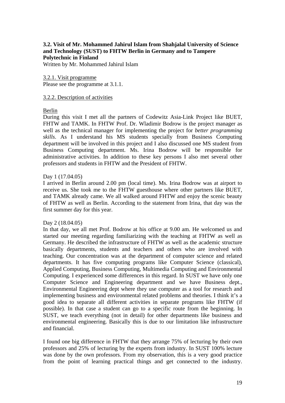# **3.2. Visit of Mr. Mohammed Jahirul Islam from Shahjalal University of Science and Technology (SUST) to FHTW Berlin in Germany and to Tampere Polytechnic in Finland**

Written by Mr. Mohammed Jahirul Islam

3.2.1. Visit programme Please see the programme at 3.1.1.

#### 3.2.2. Description of activities

#### Berlin

During this visit I met all the partners of Codewitz Asia-Link Project like BUET, FHTW and TAMK. In FHTW Prof. Dr. Wladimir Bodrow is the project manager as well as the technical manager for implementing the project for *better programming skills*. As I understand his MS students specially from Business Computing department will be involved in this project and I also discussed one MS student from Business Computing department. Ms. Irina Bodrow will be responsible for administrative activities. In addition to these key persons I also met several other professors and students in FHTW and the President of FHTW.

### Day 1 (17.04.05)

I arrived in Berlin around 2.00 pm (local time). Ms. Irina Bodrow was at airport to receive us. She took me to the FHTW guesthouse where other partners like BUET, and TAMK already came. We all walked around FHTW and enjoy the scenic beauty of FHTW as well as Berlin. According to the statement from Irina, that day was the first summer day for this year.

#### Day 2 (18.04.05)

In that day, we all met Prof. Bodrow at his office at 9.00 am. He welcomed us and started our meeting regarding familiarizing with the teaching at FHTW as well as Germany. He described the infrastructure of FHTW as well as the academic structure basically departments, students and teachers and others who are involved with teaching. Our concentration was at the department of computer science and related departments. It has five computing programs like Computer Science (classical), Applied Computing, Business Computing, Multimedia Computing and Environmental Computing. I experienced some differences in this regard. In SUST we have only one Computer Science and Engineering department and we have Business dept., Environmental Engineering dept where they use computer as a tool for research and implementing business and environmental related problems and theories. I think it's a good idea to separate all different activities in separate programs like FHTW (if possible). In that case a student can go to a specific route from the beginning. In SUST, we teach everything (not in detail) for other departments like business and environmental engineering. Basically this is due to our limitation like infrastructure and financial.

I found one big difference in FHTW that they arrange 75% of lecturing by their own professors and 25% of lecturing by the experts from industry. In SUST 100% lecture was done by the own professors. From my observation, this is a very good practice from the point of learning practical things and get connected to the industry.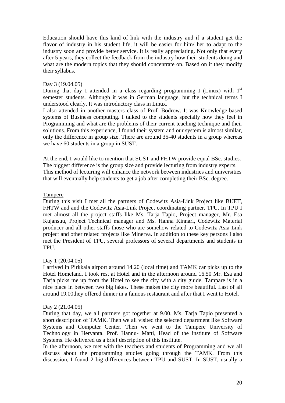Education should have this kind of link with the industry and if a student get the flavor of industry in his student life, it will be easier for him/ her to adapt to the industry soon and provide better service. It is really appreciating. Not only that every after 5 years, they collect the feedback from the industry how their students doing and what are the modern topics that they should concentrate on. Based on it they modify their syllabus.

#### Day 3 (19.04.05)

During that day I attended in a class regarding programming I (Linux) with  $1<sup>st</sup>$ semester students. Although it was in German language, but the technical terms I understood clearly. It was introductory class in Linux.

I also attended in another masters class of Prof. Bodrow. It was Knowledge-based systems of Business computing. I talked to the students specially how they feel in Programming and what are the problems of their current teaching technique and their solutions. From this experience, I found their system and our system is almost similar, only the difference in group size. There are around 35-40 students in a group whereas we have 60 students in a group in SUST.

At the end, I would like to mention that SUST and FHTW provide equal BSc. studies. The biggest difference is the group size and provide lecturing from industry experts. This method of lecturing will enhance the network between industries and universities that will eventually help students to get a job after completing their BSc. degree.

#### Tampere

During this visit I met all the partners of Codewitz Asia-Link Project like BUET, FHTW and and the Codewitz Asia-Link Project coordinating partner, TPU. In TPU I met almost all the project staffs like Ms. Tarja Tapio, Project manager, Mr. Esa Kujansuu, Project Technical manager and Ms. Hanna Kinnari, Codewitz Material producer and all other staffs those who are somehow related to Codewitz Asia-Link project and other related projects like Minerva. In addition to these key persons I also met the President of TPU, several professors of several departments and students in TPU.

### Day 1 (20.04.05)

I arrived in Pirkkala airport around 14.20 (local time) and TAMK car picks up to the Hotel Homeland. I took rest at Hotel and in the afternoon around 16.50 Mr. Esa and Tarja picks me up from the Hotel to see the city with a city guide. Tampare is in a nice place in between two big lakes. These makes the city more beautiful. Last of all around 19.00they offered dinner in a famous restaurant and after that I went to Hotel.

### Day 2 (21.04.05)

During that day, we all partners got together at 9.00. Ms. Tarja Tapio presented a short description of TAMK. Then we all visited the selected department like Software Systems and Computer Center. Then we went to the Tampere University of Technology in Hervanta. Prof. Hannu- Matti, Head of the institute of Software Systems. He delivered us a brief description of this institute.

In the afternoon, we met with the teachers and students of Programming and we all discuss about the programming studies going through the TAMK. From this discussion, I found 2 big differences between TPU and SUST. In SUST, usually a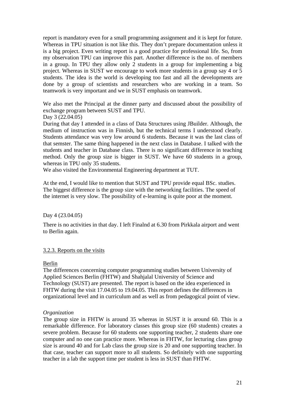report is mandatory even for a small programming assignment and it is kept for future. Whereas in TPU situation is not like this. They don't prepare documentation unless it is a big project. Even writing report is a good practice for professional life. So, from my observation TPU can improve this part. Another difference is the no. of members in a group. In TPU they allow only 2 students in a group for implementing a big project. Whereas in SUST we encourage to work more students in a group say 4 or 5 students. The idea is the world is developing too fast and all the developments are done by a group of scientists and researchers who are working in a team. So teamwork is very important and we in SUST emphasis on teamwork.

We also met the Principal at the dinner party and discussed about the possibility of exchange program between SUST and TPU.

#### Day 3 (22.04.05)

During that day I attended in a class of Data Structures using JBuilder. Although, the medium of instruction was in Finnish, but the technical terms I understood clearly. Students attendance was very low around 6 students. Because it was the last class of that semster. The same thing happened in the next class in Database. I talked with the students and teacher in Database class. There is no significant difference in teaching method. Only the group size is bigger in SUST. We have 60 students in a group, whereas in TPU only 35 students.

We also visited the Environmental Engineering department at TUT.

At the end, I would like to mention that SUST and TPU provide equal BSc. studies. The biggest difference is the group size with the networking facilities. The speed of the internet is very slow. The possibility of e-learning is quite poor at the moment.

### Day 4 (23.04.05)

There is no activities in that day. I left Finalnd at 6.30 from Pirkkala airport and went to Berlin again.

### 3.2.3. Reports on the visits

### Berlin

The differences concerning computer programming studies between University of Applied Sciences Berlin (FHTW) and Shahjalal University of Science and Technology (SUST) are presented. The report is based on the idea experienced in FHTW during the visit 17.04.05 to 19.04.05. This report defines the differences in organizational level and in curriculum and as well as from pedagogical point of view.

### *Organization*

The group size in FHTW is around 35 whereas in SUST it is around 60. This is a remarkable difference. For laboratory classes this group size (60 students) creates a severe problem. Because for 60 students one supporting teacher, 2 students share one computer and no one can practice more. Whereas in FHTW, for lecturing class group size is around 40 and for Lab class the group size is 20 and one supporting teacher. In that case, teacher can support more to all students. So definitely with one supporting teacher in a lab the support time per student is less in SUST than FHTW.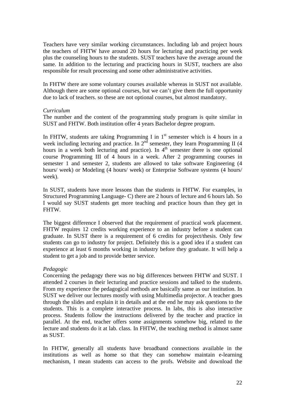Teachers have very similar working circumstances. Including lab and project hours the teachers of FHTW have around 20 hours for lecturing and practicing per week plus the counseling hours to the students. SUST teachers have the average around the same. In addition to the lecturing and practicing hours in SUST, teachers are also responsible for result processing and some other administrative activities.

In FHTW there are some voluntary courses available whereas in SUST not available. Although there are some optional courses, but we can't give them the full opportunity due to lack of teachers. so these are not optional courses, but almost mandatory.

### *Curriculum*

The number and the content of the programming study program is quite similar in SUST and FHTW. Both institution offer 4 years Bachelor degree program.

In FHTW, students are taking Programming I in  $1<sup>st</sup>$  semester which is 4 hours in a week including lecturing and practice. In  $2<sup>nd</sup>$  semester, they learn Programming II (4) hours in a week both lecturing and practice). In  $4<sup>th</sup>$  semester there is one optional course Programming III of 4 hours in a week. After 2 programming courses in semester 1 and semester 2, students are allowed to take software Engineering (4 hours/ week) or Modeling (4 hours/ week) or Enterprise Software systems (4 hours/ week).

In SUST, students have more lessons than the students in FHTW. For examples, in Structured Programming Language- C) there are 2 hours of lecture and 6 hours lab. So I would say SUST students get more teaching and practice hours than they get in FHTW.

The biggest difference I observed that the requirement of practical work placement. FHTW requires 12 credits working experience to an industry before a student can graduate. In SUST there is a requirement of 6 credits for project/thesis. Only few students can go to industry for project. Definitely this is a good idea if a student can experience at least 6 months working in industry before they graduate. It will help a student to get a job and to provide better service.

### *Pedagogic*

Concerning the pedagogy there was no big differences between FHTW and SUST. I attended 2 courses in their lecturing and practice sessions and talked to the students. From my experience the pedagogical methods are basically same as our institution. In SUST we deliver our lectures mostly with using Multimedia projector. A teacher goes through the slides and explain it in details and at the end he may ask questions to the students. This is a complete interactive process. In labs, this is also interactive process. Students follow the instructions delivered by the teacher and practice in parallel. At the end, teacher offers some assignments somehow big, related to the lecture and students do it at lab. class. In FHTW, the teaching method is almost same as SUST.

In FHTW, generally all students have broadband connections available in the institutions as well as home so that they can somehow maintain e-learning mechanism, I mean students can access to the profs. Website and download the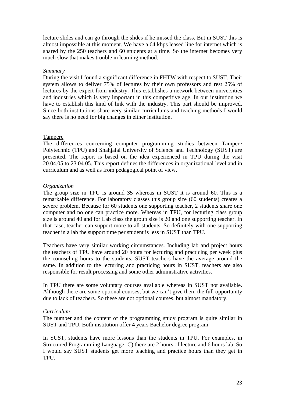lecture slides and can go through the slides if he missed the class. But in SUST this is almost impossible at this moment. We have a 64 kbps leased line for internet which is shared by the 250 teachers and 60 students at a time. So the internet becomes very much slow that makes trouble in learning method.

#### *Summary*

During the visit I found a significant difference in FHTW with respect to SUST. Their system allows to deliver 75% of lectures by their own professors and rest 25% of lectures by the expert from industry. This establishes a network between universities and industries which is very important in this competitive age. In our institution we have to establish this kind of link with the industry. This part should be improved. Since both institutions share very similar curriculums and teaching methods I would say there is no need for big changes in either institution.

#### Tampere

The differences concerning computer programming studies between Tampere Polytechnic (TPU) and Shahjalal University of Science and Technology (SUST) are presented. The report is based on the idea experienced in TPU during the visit 20.04.05 to 23.04.05. This report defines the differences in organizational level and in curriculum and as well as from pedagogical point of view.

### *Organization*

The group size in TPU is around 35 whereas in SUST it is around 60. This is a remarkable difference. For laboratory classes this group size (60 students) creates a severe problem. Because for 60 students one supporting teacher, 2 students share one computer and no one can practice more. Whereas in TPU, for lecturing class group size is around 40 and for Lab class the group size is 20 and one supporting teacher. In that case, teacher can support more to all students. So definitely with one supporting teacher in a lab the support time per student is less in SUST than TPU.

Teachers have very similar working circumstances. Including lab and project hours the teachers of TPU have around 20 hours for lecturing and practicing per week plus the counseling hours to the students. SUST teachers have the average around the same. In addition to the lecturing and practicing hours in SUST, teachers are also responsible for result processing and some other administrative activities.

In TPU there are some voluntary courses available whereas in SUST not available. Although there are some optional courses, but we can't give them the full opportunity due to lack of teachers. So these are not optional courses, but almost mandatory.

### *Curriculum*

The number and the content of the programming study program is quite similar in SUST and TPU. Both institution offer 4 years Bachelor degree program.

In SUST, students have more lessons than the students in TPU. For examples, in Structured Programming Language- C) there are 2 hours of lecture and 6 hours lab. So I would say SUST students get more teaching and practice hours than they get in TPU.